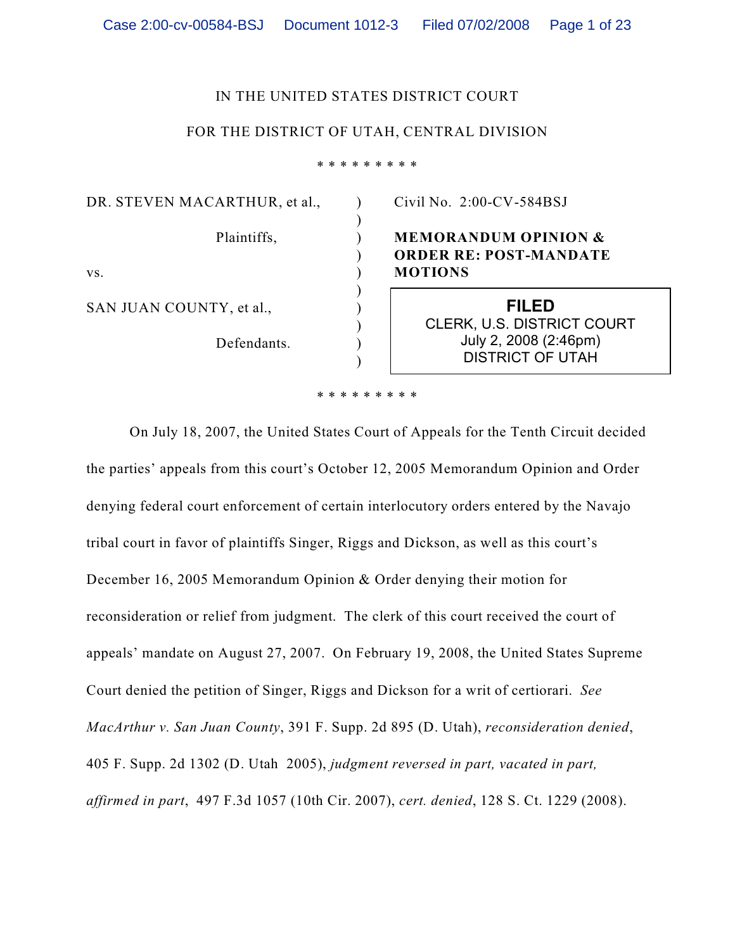### IN THE UNITED STATES DISTRICT COURT

### FOR THE DISTRICT OF UTAH, CENTRAL DIVISION

\* \* \* \* \* \* \* \* \*

) ) ) ) ) ) ) ) ) )

DR. STEVEN MACARTHUR, et al., Plaintiffs, vs. SAN JUAN COUNTY, et al.,

Defendants.

Civil No. 2:00-CV-584BSJ

## **MEMORANDUM OPINION & ORDER RE: POST-MANDATE MOTIONS**

**FILED** CLERK, U.S. DISTRICT COURT July 2, 2008 (2:46pm) DISTRICT OF UTAH

\* \* \* \* \* \* \* \* \*

On July 18, 2007, the United States Court of Appeals for the Tenth Circuit decided the parties' appeals from this court's October 12, 2005 Memorandum Opinion and Order denying federal court enforcement of certain interlocutory orders entered by the Navajo tribal court in favor of plaintiffs Singer, Riggs and Dickson, as well as this court's December 16, 2005 Memorandum Opinion & Order denying their motion for reconsideration or relief from judgment. The clerk of this court received the court of appeals' mandate on August 27, 2007. On February 19, 2008, the United States Supreme Court denied the petition of Singer, Riggs and Dickson for a writ of certiorari. *See MacArthur v. San Juan County*, 391 F. Supp. 2d 895 (D. Utah), *reconsideration denied*, 405 F. Supp. 2d 1302 (D. Utah 2005), *judgment reversed in part, vacated in part, affirmed in part*, 497 F.3d 1057 (10th Cir. 2007), *cert. denied*, 128 S. Ct. 1229 (2008).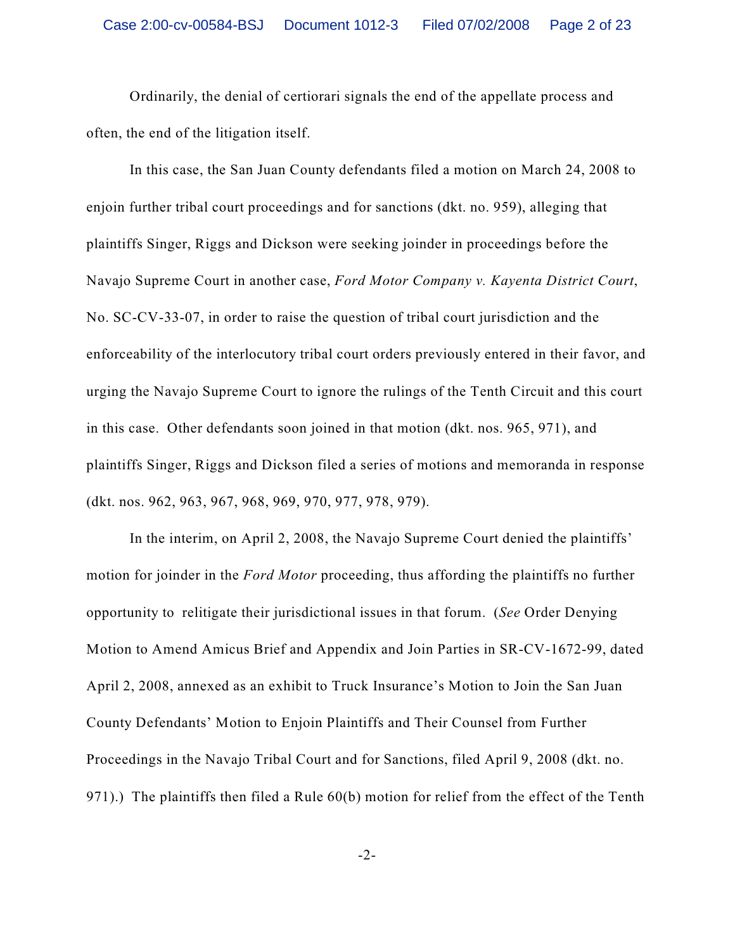Ordinarily, the denial of certiorari signals the end of the appellate process and often, the end of the litigation itself.

In this case, the San Juan County defendants filed a motion on March 24, 2008 to enjoin further tribal court proceedings and for sanctions (dkt. no. 959), alleging that plaintiffs Singer, Riggs and Dickson were seeking joinder in proceedings before the Navajo Supreme Court in another case, *Ford Motor Company v. Kayenta District Court*, No. SC-CV-33-07, in order to raise the question of tribal court jurisdiction and the enforceability of the interlocutory tribal court orders previously entered in their favor, and urging the Navajo Supreme Court to ignore the rulings of the Tenth Circuit and this court in this case. Other defendants soon joined in that motion (dkt. nos. 965, 971), and plaintiffs Singer, Riggs and Dickson filed a series of motions and memoranda in response (dkt. nos. 962, 963, 967, 968, 969, 970, 977, 978, 979).

In the interim, on April 2, 2008, the Navajo Supreme Court denied the plaintiffs' motion for joinder in the *Ford Motor* proceeding, thus affording the plaintiffs no further opportunity to relitigate their jurisdictional issues in that forum. (*See* Order Denying Motion to Amend Amicus Brief and Appendix and Join Parties in SR-CV-1672-99, dated April 2, 2008, annexed as an exhibit to Truck Insurance's Motion to Join the San Juan County Defendants' Motion to Enjoin Plaintiffs and Their Counsel from Further Proceedings in the Navajo Tribal Court and for Sanctions, filed April 9, 2008 (dkt. no. 971).) The plaintiffs then filed a Rule 60(b) motion for relief from the effect of the Tenth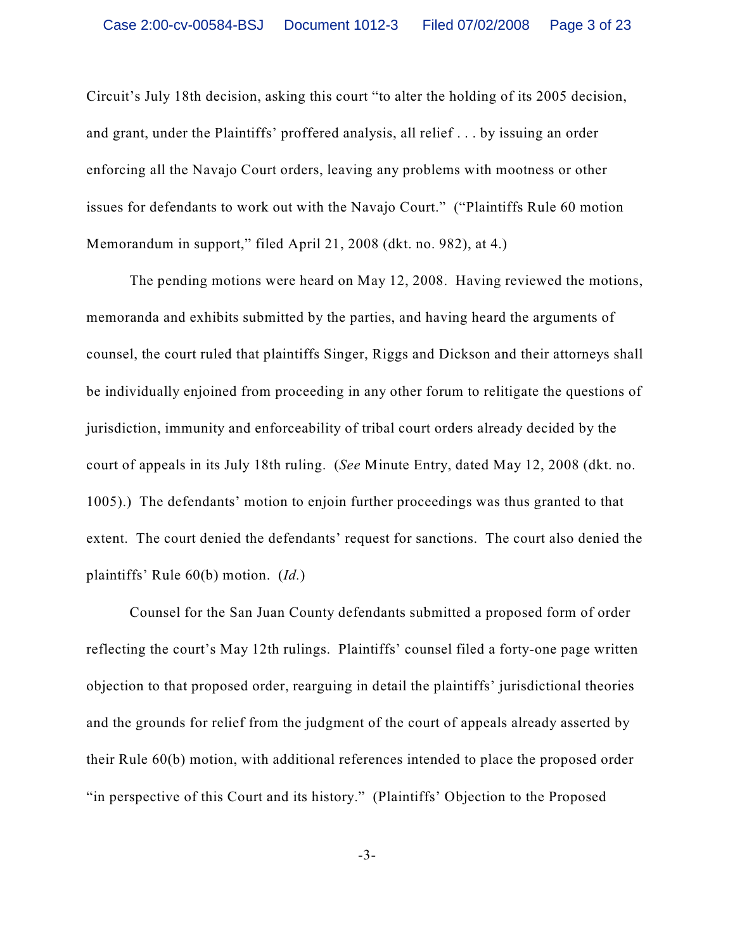Circuit's July 18th decision, asking this court "to alter the holding of its 2005 decision, and grant, under the Plaintiffs' proffered analysis, all relief . . . by issuing an order enforcing all the Navajo Court orders, leaving any problems with mootness or other issues for defendants to work out with the Navajo Court." ("Plaintiffs Rule 60 motion Memorandum in support," filed April 21, 2008 (dkt. no. 982), at 4.)

The pending motions were heard on May 12, 2008. Having reviewed the motions, memoranda and exhibits submitted by the parties, and having heard the arguments of counsel, the court ruled that plaintiffs Singer, Riggs and Dickson and their attorneys shall be individually enjoined from proceeding in any other forum to relitigate the questions of jurisdiction, immunity and enforceability of tribal court orders already decided by the court of appeals in its July 18th ruling. (*See* Minute Entry, dated May 12, 2008 (dkt. no. 1005).) The defendants' motion to enjoin further proceedings was thus granted to that extent. The court denied the defendants' request for sanctions. The court also denied the plaintiffs' Rule 60(b) motion. (*Id.*)

Counsel for the San Juan County defendants submitted a proposed form of order reflecting the court's May 12th rulings. Plaintiffs' counsel filed a forty-one page written objection to that proposed order, rearguing in detail the plaintiffs' jurisdictional theories and the grounds for relief from the judgment of the court of appeals already asserted by their Rule 60(b) motion, with additional references intended to place the proposed order "in perspective of this Court and its history." (Plaintiffs' Objection to the Proposed

-3-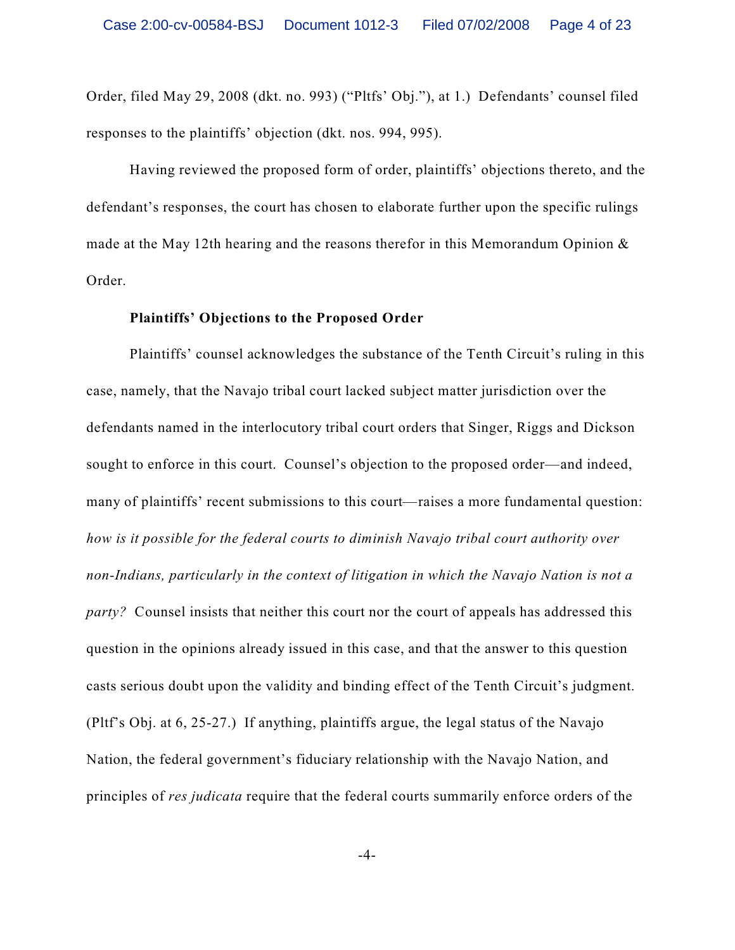Order, filed May 29, 2008 (dkt. no. 993) ("Pltfs' Obj."), at 1.) Defendants' counsel filed responses to the plaintiffs' objection (dkt. nos. 994, 995).

Having reviewed the proposed form of order, plaintiffs' objections thereto, and the defendant's responses, the court has chosen to elaborate further upon the specific rulings made at the May 12th hearing and the reasons therefor in this Memorandum Opinion & Order.

#### **Plaintiffs' Objections to the Proposed Order**

Plaintiffs' counsel acknowledges the substance of the Tenth Circuit's ruling in this case, namely, that the Navajo tribal court lacked subject matter jurisdiction over the defendants named in the interlocutory tribal court orders that Singer, Riggs and Dickson sought to enforce in this court. Counsel's objection to the proposed order—and indeed, many of plaintiffs' recent submissions to this court—raises a more fundamental question: *how is it possible for the federal courts to diminish Navajo tribal court authority over non-Indians, particularly in the context of litigation in which the Navajo Nation is not a party?* Counsel insists that neither this court nor the court of appeals has addressed this question in the opinions already issued in this case, and that the answer to this question casts serious doubt upon the validity and binding effect of the Tenth Circuit's judgment. (Pltf's Obj. at 6, 25-27.) If anything, plaintiffs argue, the legal status of the Navajo Nation, the federal government's fiduciary relationship with the Navajo Nation, and principles of *res judicata* require that the federal courts summarily enforce orders of the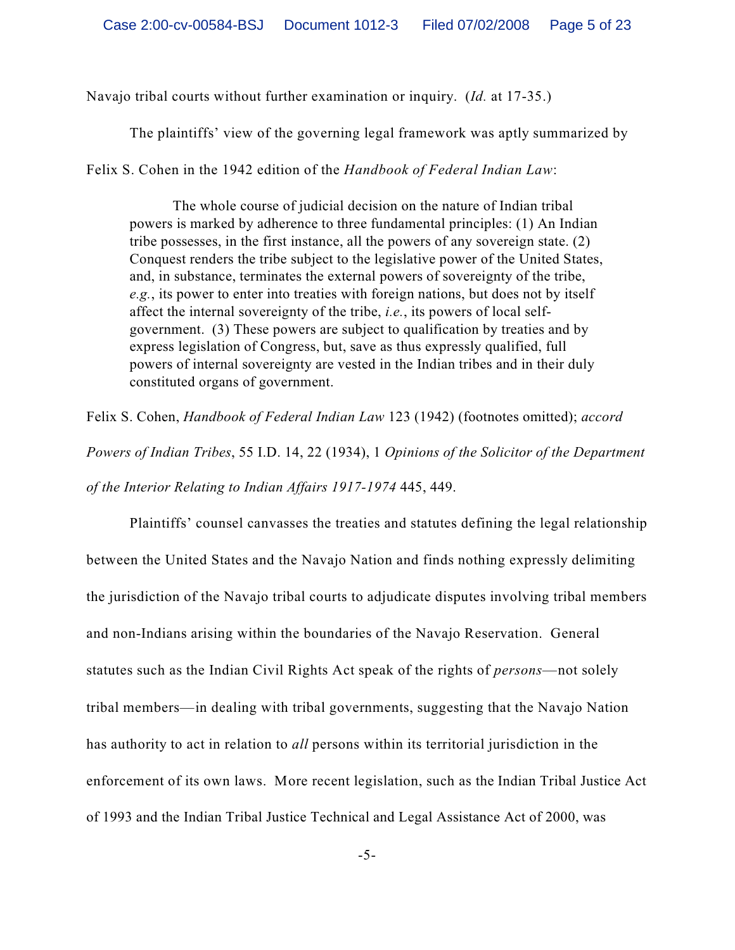Navajo tribal courts without further examination or inquiry. (*Id.* at 17-35.)

The plaintiffs' view of the governing legal framework was aptly summarized by

Felix S. Cohen in the 1942 edition of the *Handbook of Federal Indian Law*:

The whole course of judicial decision on the nature of Indian tribal powers is marked by adherence to three fundamental principles: (1) An Indian tribe possesses, in the first instance, all the powers of any sovereign state. (2) Conquest renders the tribe subject to the legislative power of the United States, and, in substance, terminates the external powers of sovereignty of the tribe, *e.g.*, its power to enter into treaties with foreign nations, but does not by itself affect the internal sovereignty of the tribe, *i.e.*, its powers of local selfgovernment. (3) These powers are subject to qualification by treaties and by express legislation of Congress, but, save as thus expressly qualified, full powers of internal sovereignty are vested in the Indian tribes and in their duly constituted organs of government.

Felix S. Cohen, *Handbook of Federal Indian Law* 123 (1942) (footnotes omitted); *accord Powers of Indian Tribes*, 55 I.D. 14, 22 (1934), 1 *Opinions of the Solicitor of the Department of the Interior Relating to Indian Affairs 1917-1974* 445, 449.

Plaintiffs' counsel canvasses the treaties and statutes defining the legal relationship between the United States and the Navajo Nation and finds nothing expressly delimiting the jurisdiction of the Navajo tribal courts to adjudicate disputes involving tribal members and non-Indians arising within the boundaries of the Navajo Reservation. General statutes such as the Indian Civil Rights Act speak of the rights of *persons*—not solely tribal members—in dealing with tribal governments, suggesting that the Navajo Nation has authority to act in relation to *all* persons within its territorial jurisdiction in the enforcement of its own laws. More recent legislation, such as the Indian Tribal Justice Act of 1993 and the Indian Tribal Justice Technical and Legal Assistance Act of 2000, was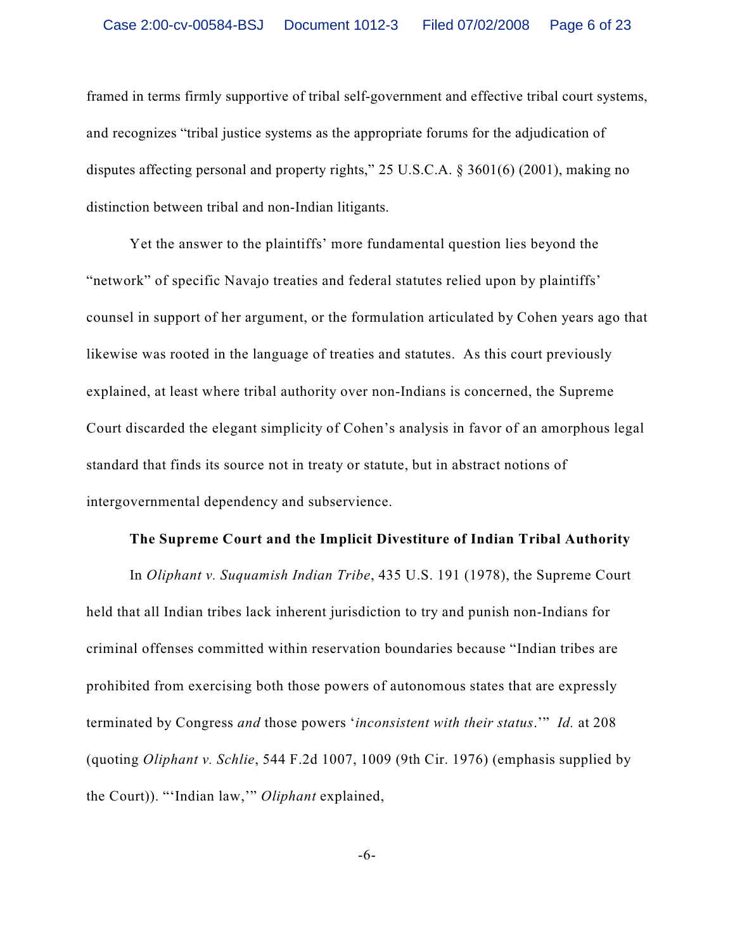framed in terms firmly supportive of tribal self-government and effective tribal court systems, and recognizes "tribal justice systems as the appropriate forums for the adjudication of disputes affecting personal and property rights," 25 U.S.C.A. § 3601(6) (2001), making no distinction between tribal and non-Indian litigants.

Yet the answer to the plaintiffs' more fundamental question lies beyond the "network" of specific Navajo treaties and federal statutes relied upon by plaintiffs' counsel in support of her argument, or the formulation articulated by Cohen years ago that likewise was rooted in the language of treaties and statutes. As this court previously explained, at least where tribal authority over non-Indians is concerned, the Supreme Court discarded the elegant simplicity of Cohen's analysis in favor of an amorphous legal standard that finds its source not in treaty or statute, but in abstract notions of intergovernmental dependency and subservience.

### **The Supreme Court and the Implicit Divestiture of Indian Tribal Authority**

In *Oliphant v. Suquamish Indian Tribe*, 435 U.S. 191 (1978), the Supreme Court held that all Indian tribes lack inherent jurisdiction to try and punish non-Indians for criminal offenses committed within reservation boundaries because "Indian tribes are prohibited from exercising both those powers of autonomous states that are expressly terminated by Congress *and* those powers '*inconsistent with their status*.'" *Id.* at 208 (quoting *Oliphant v. Schlie*, 544 F.2d 1007, 1009 (9th Cir. 1976) (emphasis supplied by the Court)). "'Indian law,'" *Oliphant* explained,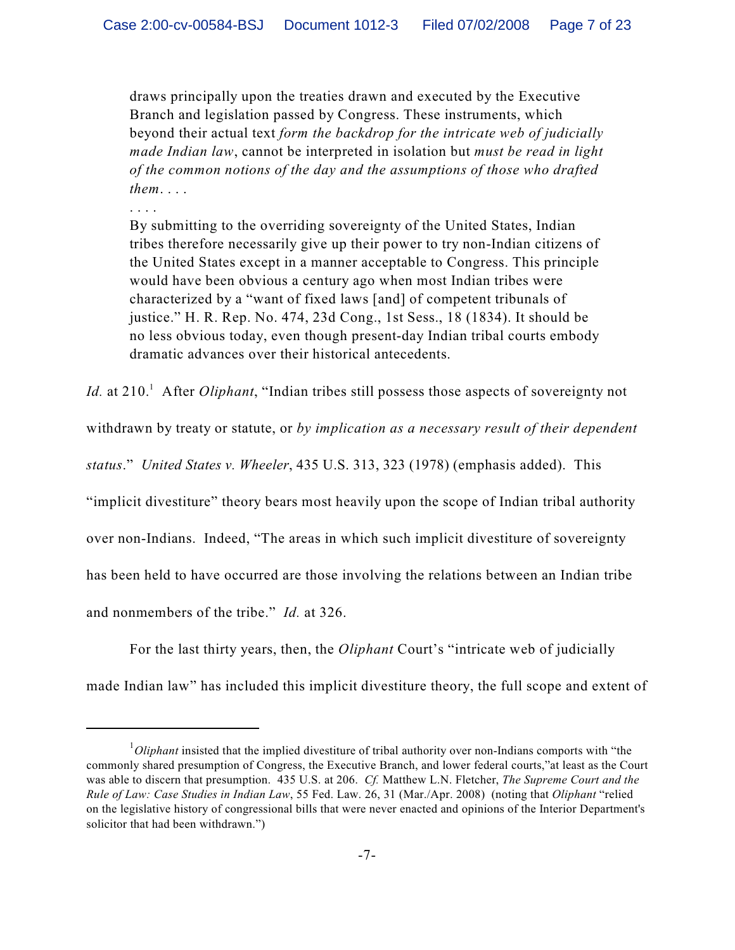draws principally upon the treaties drawn and executed by the Executive Branch and legislation passed by Congress. These instruments, which beyond their actual text *form the backdrop for the intricate web of judicially made Indian law*, cannot be interpreted in isolation but *must be read in light of the common notions of the day and the assumptions of those who drafted them*. . . .

. . . .

By submitting to the overriding sovereignty of the United States, Indian tribes therefore necessarily give up their power to try non-Indian citizens of the United States except in a manner acceptable to Congress. This principle would have been obvious a century ago when most Indian tribes were characterized by a "want of fixed laws [and] of competent tribunals of justice." H. R. Rep. No. 474, 23d Cong., 1st Sess., 18 (1834). It should be no less obvious today, even though present-day Indian tribal courts embody dramatic advances over their historical antecedents.

*Id.* at 210. After *Oliphant*, "Indian tribes still possess those aspects of sovereignty not

withdrawn by treaty or statute, or *by implication as a necessary result of their dependent*

*status*." *United States v. Wheeler*, 435 U.S. 313, 323 (1978) (emphasis added). This

"implicit divestiture" theory bears most heavily upon the scope of Indian tribal authority

over non-Indians. Indeed, "The areas in which such implicit divestiture of sovereignty

has been held to have occurred are those involving the relations between an Indian tribe

and nonmembers of the tribe." *Id.* at 326.

For the last thirty years, then, the *Oliphant* Court's "intricate web of judicially made Indian law" has included this implicit divestiture theory, the full scope and extent of

<sup>&</sup>lt;sup>1</sup>Oliphant insisted that the implied divestiture of tribal authority over non-Indians comports with "the commonly shared presumption of Congress, the Executive Branch, and lower federal courts,"at least as the Court was able to discern that presumption. 435 U.S. at 206. *Cf.* Matthew L.N. Fletcher, *The Supreme Court and the Rule of Law: Case Studies in Indian Law*, 55 Fed. Law. 26, 31 (Mar./Apr. 2008) (noting that *Oliphant* "relied on the legislative history of congressional bills that were never enacted and opinions of the Interior Department's solicitor that had been withdrawn.")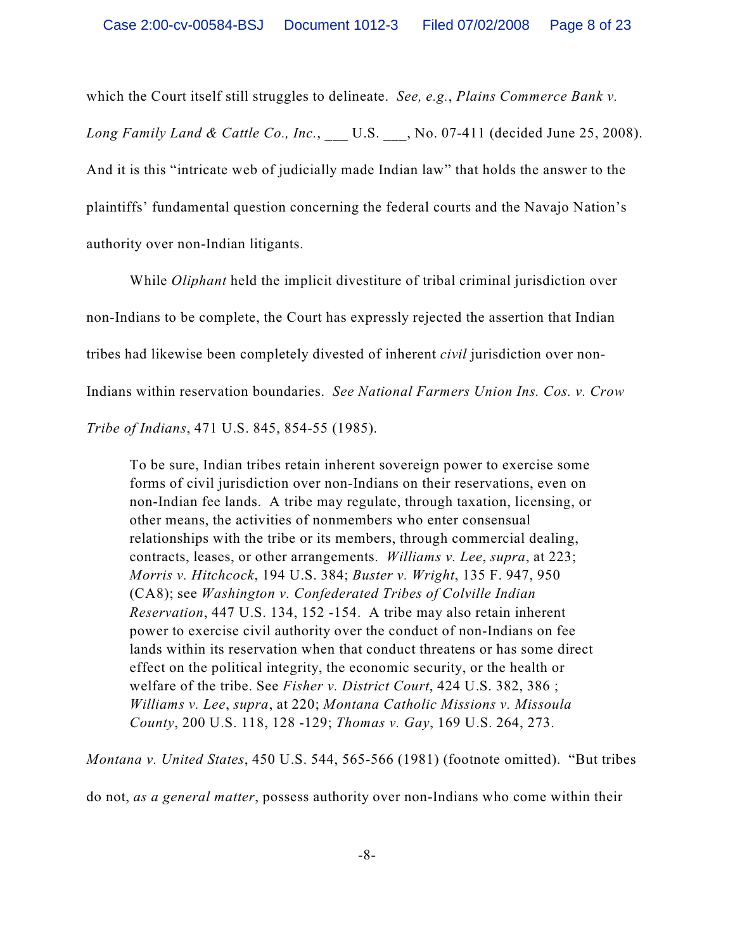which the Court itself still struggles to delineate. *See, e.g.*, *Plains Commerce Bank v. Long Family Land & Cattle Co., Inc.*, U.S. , No. 07-411 (decided June 25, 2008). And it is this "intricate web of judicially made Indian law" that holds the answer to the plaintiffs' fundamental question concerning the federal courts and the Navajo Nation's authority over non-Indian litigants.

While *Oliphant* held the implicit divestiture of tribal criminal jurisdiction over non-Indians to be complete, the Court has expressly rejected the assertion that Indian tribes had likewise been completely divested of inherent *civil* jurisdiction over non-Indians within reservation boundaries. *See National Farmers Union Ins. Cos. v. Crow Tribe of Indians*, 471 U.S. 845, 854-55 (1985).

To be sure, Indian tribes retain inherent sovereign power to exercise some forms of civil jurisdiction over non-Indians on their reservations, even on non-Indian fee lands. A tribe may regulate, through taxation, licensing, or other means, the activities of nonmembers who enter consensual relationships with the tribe or its members, through commercial dealing, contracts, leases, or other arrangements. *Williams v. Lee*, *supra*, at 223; *Morris v. Hitchcock*, 194 U.S. 384; *Buster v. Wright*, 135 F. 947, 950 (CA8); see *Washington v. Confederated Tribes of Colville Indian Reservation*, 447 U.S. 134, 152 -154. A tribe may also retain inherent power to exercise civil authority over the conduct of non-Indians on fee lands within its reservation when that conduct threatens or has some direct effect on the political integrity, the economic security, or the health or welfare of the tribe. See *Fisher v. District Court*, 424 U.S. 382, 386 ; *Williams v. Lee*, *supra*, at 220; *Montana Catholic Missions v. Missoula County*, 200 U.S. 118, 128 -129; *Thomas v. Gay*, 169 U.S. 264, 273.

*Montana v. United States*, 450 U.S. 544, 565-566 (1981) (footnote omitted). "But tribes

do not, *as a general matter*, possess authority over non-Indians who come within their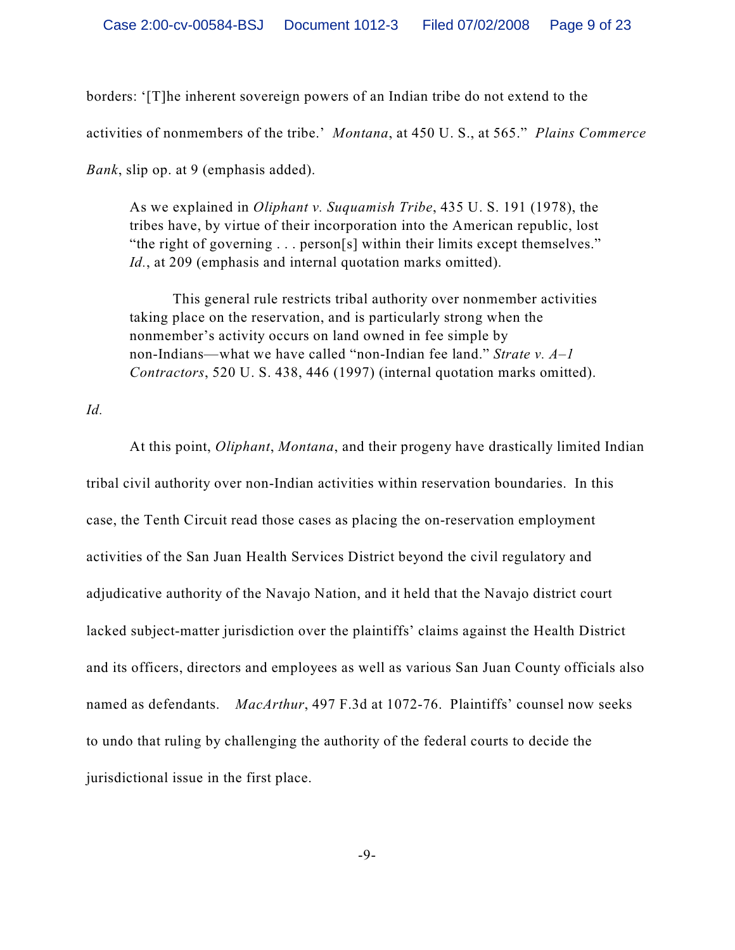borders: '[T]he inherent sovereign powers of an Indian tribe do not extend to the activities of nonmembers of the tribe.' *Montana*, at 450 U. S., at 565." *Plains Commerce Bank*, slip op. at 9 (emphasis added).

As we explained in *Oliphant v. Suquamish Tribe*, 435 U. S. 191 (1978), the tribes have, by virtue of their incorporation into the American republic, lost "the right of governing . . . person[s] within their limits except themselves." *Id.*, at 209 (emphasis and internal quotation marks omitted).

This general rule restricts tribal authority over nonmember activities taking place on the reservation, and is particularly strong when the nonmember's activity occurs on land owned in fee simple by non-Indians—what we have called "non-Indian fee land." *Strate v. A–1 Contractors*, 520 U. S. 438, 446 (1997) (internal quotation marks omitted).

*Id.*

At this point, *Oliphant*, *Montana*, and their progeny have drastically limited Indian tribal civil authority over non-Indian activities within reservation boundaries. In this case, the Tenth Circuit read those cases as placing the on-reservation employment activities of the San Juan Health Services District beyond the civil regulatory and adjudicative authority of the Navajo Nation, and it held that the Navajo district court lacked subject-matter jurisdiction over the plaintiffs' claims against the Health District and its officers, directors and employees as well as various San Juan County officials also named as defendants. *MacArthur*, 497 F.3d at 1072-76. Plaintiffs' counsel now seeks to undo that ruling by challenging the authority of the federal courts to decide the jurisdictional issue in the first place.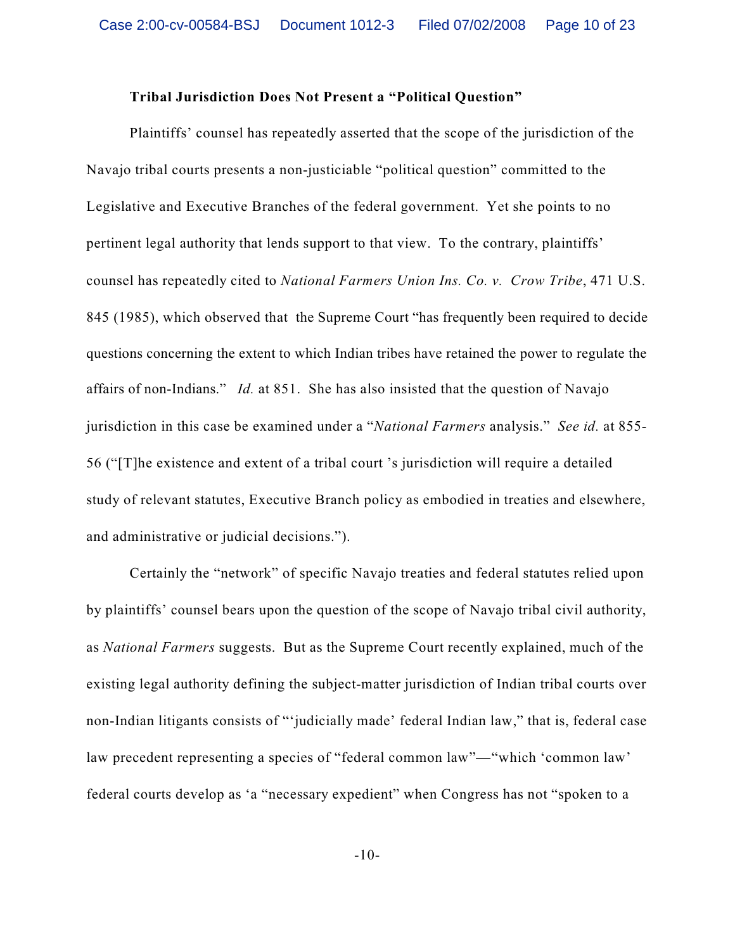#### **Tribal Jurisdiction Does Not Present a "Political Question"**

Plaintiffs' counsel has repeatedly asserted that the scope of the jurisdiction of the Navajo tribal courts presents a non-justiciable "political question" committed to the Legislative and Executive Branches of the federal government. Yet she points to no pertinent legal authority that lends support to that view. To the contrary, plaintiffs' counsel has repeatedly cited to *National Farmers Union Ins. Co. v. Crow Tribe*, 471 U.S. 845 (1985), which observed that the Supreme Court "has frequently been required to decide questions concerning the extent to which Indian tribes have retained the power to regulate the affairs of non-Indians." *Id.* at 851. She has also insisted that the question of Navajo jurisdiction in this case be examined under a "*National Farmers* analysis." *See id.* at 855- 56 ("[T]he existence and extent of a tribal court 's jurisdiction will require a detailed study of relevant statutes, Executive Branch policy as embodied in treaties and elsewhere, and administrative or judicial decisions.").

Certainly the "network" of specific Navajo treaties and federal statutes relied upon by plaintiffs' counsel bears upon the question of the scope of Navajo tribal civil authority, as *National Farmers* suggests. But as the Supreme Court recently explained, much of the existing legal authority defining the subject-matter jurisdiction of Indian tribal courts over non-Indian litigants consists of "'judicially made' federal Indian law," that is, federal case law precedent representing a species of "federal common law"—"which 'common law' federal courts develop as 'a "necessary expedient" when Congress has not "spoken to a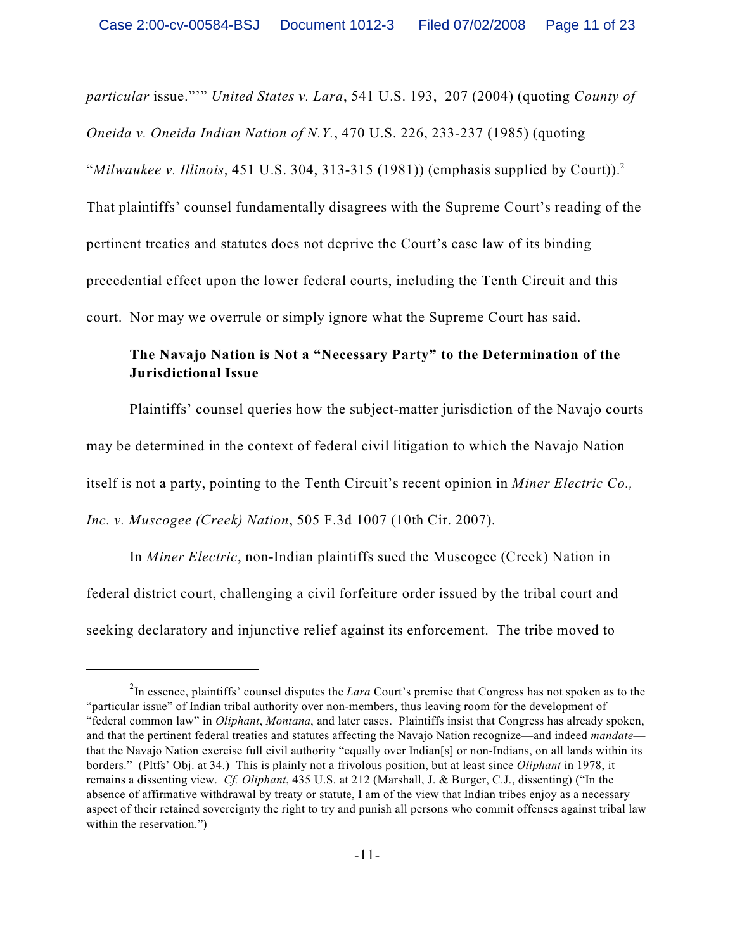*particular* issue."'" *United States v. Lara*, 541 U.S. 193, 207 (2004) (quoting *County of Oneida v. Oneida Indian Nation of N.Y.*, 470 U.S. 226, 233-237 (1985) (quoting "*Milwaukee v. Illinois*, 451 U.S. 304, 313-315 (1981)) (emphasis supplied by Court)).<sup>2</sup> That plaintiffs' counsel fundamentally disagrees with the Supreme Court's reading of the pertinent treaties and statutes does not deprive the Court's case law of its binding precedential effect upon the lower federal courts, including the Tenth Circuit and this court. Nor may we overrule or simply ignore what the Supreme Court has said.

# **The Navajo Nation is Not a "Necessary Party" to the Determination of the Jurisdictional Issue**

Plaintiffs' counsel queries how the subject-matter jurisdiction of the Navajo courts may be determined in the context of federal civil litigation to which the Navajo Nation itself is not a party, pointing to the Tenth Circuit's recent opinion in *Miner Electric Co.,*

*Inc. v. Muscogee (Creek) Nation*, 505 F.3d 1007 (10th Cir. 2007).

In *Miner Electric*, non-Indian plaintiffs sued the Muscogee (Creek) Nation in federal district court, challenging a civil forfeiture order issued by the tribal court and seeking declaratory and injunctive relief against its enforcement. The tribe moved to

<sup>&</sup>lt;sup>2</sup>In essence, plaintiffs' counsel disputes the *Lara* Court's premise that Congress has not spoken as to the "particular issue" of Indian tribal authority over non-members, thus leaving room for the development of "federal common law" in *Oliphant*, *Montana*, and later cases. Plaintiffs insist that Congress has already spoken, and that the pertinent federal treaties and statutes affecting the Navajo Nation recognize—and indeed *mandate* that the Navajo Nation exercise full civil authority "equally over Indian[s] or non-Indians, on all lands within its borders." (Pltfs' Obj. at 34.) This is plainly not a frivolous position, but at least since *Oliphant* in 1978, it remains a dissenting view. *Cf. Oliphant*, 435 U.S. at 212 (Marshall, J. & Burger, C.J., dissenting) ("In the absence of affirmative withdrawal by treaty or statute, I am of the view that Indian tribes enjoy as a necessary aspect of their retained sovereignty the right to try and punish all persons who commit offenses against tribal law within the reservation.")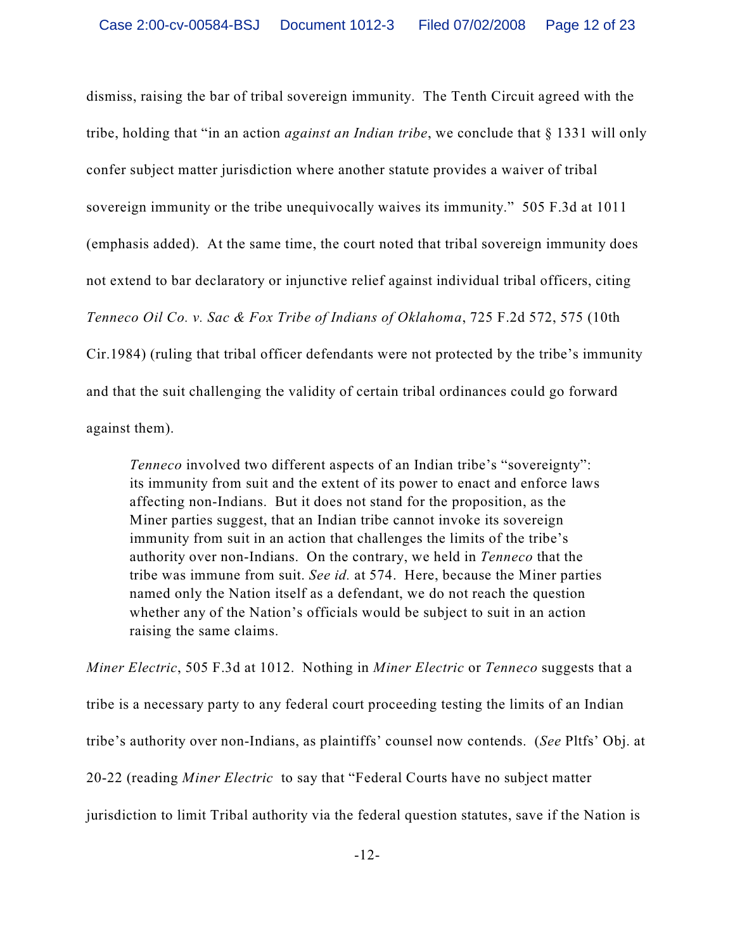dismiss, raising the bar of tribal sovereign immunity. The Tenth Circuit agreed with the tribe, holding that "in an action *against an Indian tribe*, we conclude that § 1331 will only confer subject matter jurisdiction where another statute provides a waiver of tribal sovereign immunity or the tribe unequivocally waives its immunity." 505 F.3d at 1011 (emphasis added). At the same time, the court noted that tribal sovereign immunity does not extend to bar declaratory or injunctive relief against individual tribal officers, citing *Tenneco Oil Co. v. Sac & Fox Tribe of Indians of Oklahoma*, 725 F.2d 572, 575 (10th Cir.1984) (ruling that tribal officer defendants were not protected by the tribe's immunity and that the suit challenging the validity of certain tribal ordinances could go forward against them).

*Tenneco* involved two different aspects of an Indian tribe's "sovereignty": its immunity from suit and the extent of its power to enact and enforce laws affecting non-Indians. But it does not stand for the proposition, as the Miner parties suggest, that an Indian tribe cannot invoke its sovereign immunity from suit in an action that challenges the limits of the tribe's authority over non-Indians. On the contrary, we held in *Tenneco* that the tribe was immune from suit. *See id.* at 574. Here, because the Miner parties named only the Nation itself as a defendant, we do not reach the question whether any of the Nation's officials would be subject to suit in an action raising the same claims.

*Miner Electric*, 505 F.3d at 1012. Nothing in *Miner Electric* or *Tenneco* suggests that a tribe is a necessary party to any federal court proceeding testing the limits of an Indian tribe's authority over non-Indians, as plaintiffs' counsel now contends. (*See* Pltfs' Obj. at 20-22 (reading *Miner Electric* to say that "Federal Courts have no subject matter jurisdiction to limit Tribal authority via the federal question statutes, save if the Nation is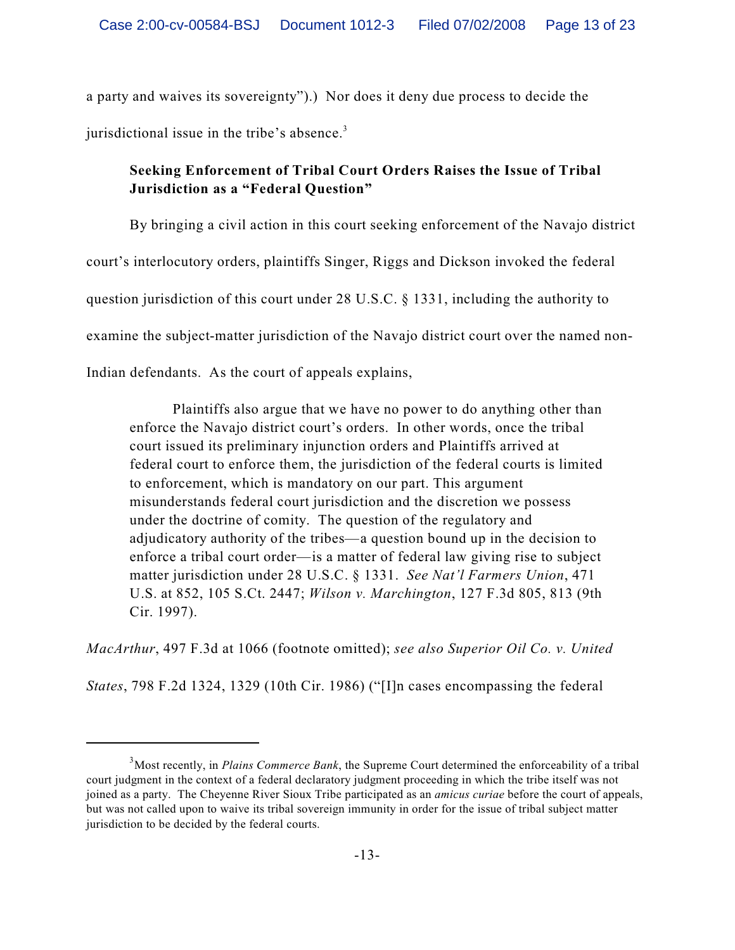a party and waives its sovereignty").) Nor does it deny due process to decide the jurisdictional issue in the tribe's absence.<sup>3</sup>

# **Seeking Enforcement of Tribal Court Orders Raises the Issue of Tribal Jurisdiction as a "Federal Question"**

By bringing a civil action in this court seeking enforcement of the Navajo district

court's interlocutory orders, plaintiffs Singer, Riggs and Dickson invoked the federal

question jurisdiction of this court under 28 U.S.C. § 1331, including the authority to

examine the subject-matter jurisdiction of the Navajo district court over the named non-

Indian defendants. As the court of appeals explains,

Plaintiffs also argue that we have no power to do anything other than enforce the Navajo district court's orders. In other words, once the tribal court issued its preliminary injunction orders and Plaintiffs arrived at federal court to enforce them, the jurisdiction of the federal courts is limited to enforcement, which is mandatory on our part. This argument misunderstands federal court jurisdiction and the discretion we possess under the doctrine of comity. The question of the regulatory and adjudicatory authority of the tribes—a question bound up in the decision to enforce a tribal court order—is a matter of federal law giving rise to subject matter jurisdiction under 28 U.S.C. § 1331. *See Nat'l Farmers Union*, 471 U.S. at 852, 105 S.Ct. 2447; *Wilson v. Marchington*, 127 F.3d 805, 813 (9th Cir. 1997).

*MacArthur*, 497 F.3d at 1066 (footnote omitted); *see also Superior Oil Co. v. United*

*States*, 798 F.2d 1324, 1329 (10th Cir. 1986) ("[I]n cases encompassing the federal

<sup>&</sup>lt;sup>3</sup>Most recently, in *Plains Commerce Bank*, the Supreme Court determined the enforceability of a tribal court judgment in the context of a federal declaratory judgment proceeding in which the tribe itself was not joined as a party. The Cheyenne River Sioux Tribe participated as an *amicus curiae* before the court of appeals, but was not called upon to waive its tribal sovereign immunity in order for the issue of tribal subject matter jurisdiction to be decided by the federal courts.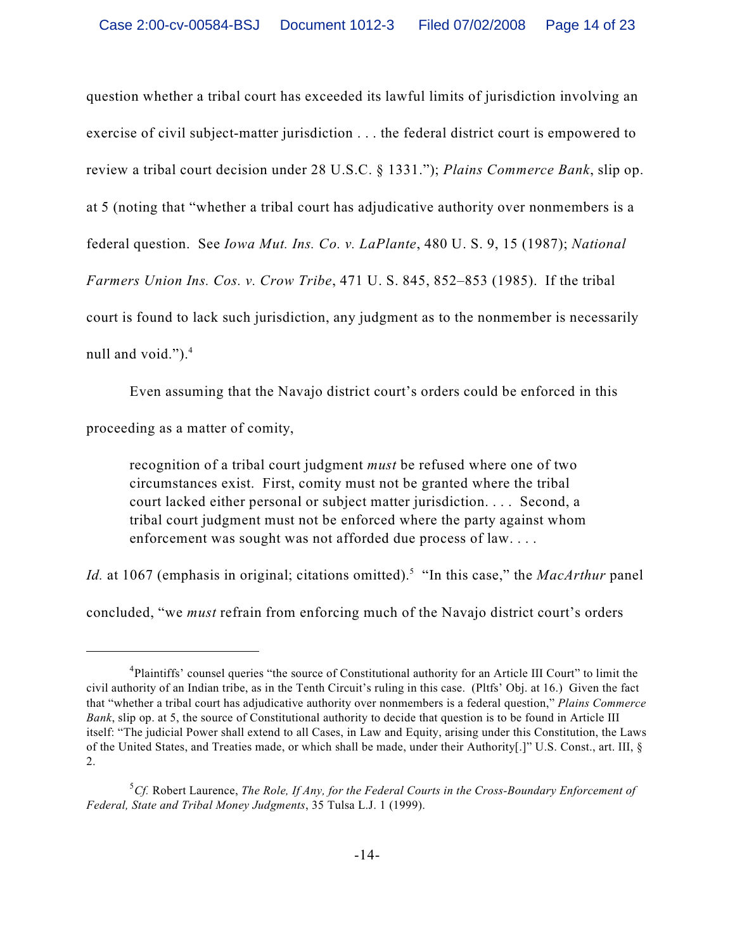question whether a tribal court has exceeded its lawful limits of jurisdiction involving an exercise of civil subject-matter jurisdiction . . . the federal district court is empowered to review a tribal court decision under 28 U.S.C. § 1331."); *Plains Commerce Bank*, slip op. at 5 (noting that "whether a tribal court has adjudicative authority over nonmembers is a federal question. See *Iowa Mut. Ins. Co. v. LaPlante*, 480 U. S. 9, 15 (1987); *National Farmers Union Ins. Cos. v. Crow Tribe*, 471 U. S. 845, 852–853 (1985). If the tribal court is found to lack such jurisdiction, any judgment as to the nonmember is necessarily null and void." $)$ .<sup>4</sup>

Even assuming that the Navajo district court's orders could be enforced in this proceeding as a matter of comity,

recognition of a tribal court judgment *must* be refused where one of two circumstances exist. First, comity must not be granted where the tribal court lacked either personal or subject matter jurisdiction. . . . Second, a tribal court judgment must not be enforced where the party against whom enforcement was sought was not afforded due process of law. . . .

*Id.* at 1067 (emphasis in original; citations omitted).<sup>5</sup> "In this case," the *MacArthur* panel

concluded, "we *must* refrain from enforcing much of the Navajo district court's orders

<sup>&</sup>lt;sup>4</sup>Plaintiffs' counsel queries "the source of Constitutional authority for an Article III Court" to limit the civil authority of an Indian tribe, as in the Tenth Circuit's ruling in this case. (Pltfs' Obj. at 16.) Given the fact that "whether a tribal court has adjudicative authority over nonmembers is a federal question," *Plains Commerce Bank*, slip op. at 5, the source of Constitutional authority to decide that question is to be found in Article III itself: "The judicial Power shall extend to all Cases, in Law and Equity, arising under this Constitution, the Laws of the United States, and Treaties made, or which shall be made, under their Authority[.]" U.S. Const., art. III, § 2.

 ${}^{5}Cf$ . Robert Laurence, *The Role, If Any, for the Federal Courts in the Cross-Boundary Enforcement of Federal, State and Tribal Money Judgments*, 35 Tulsa L.J. 1 (1999).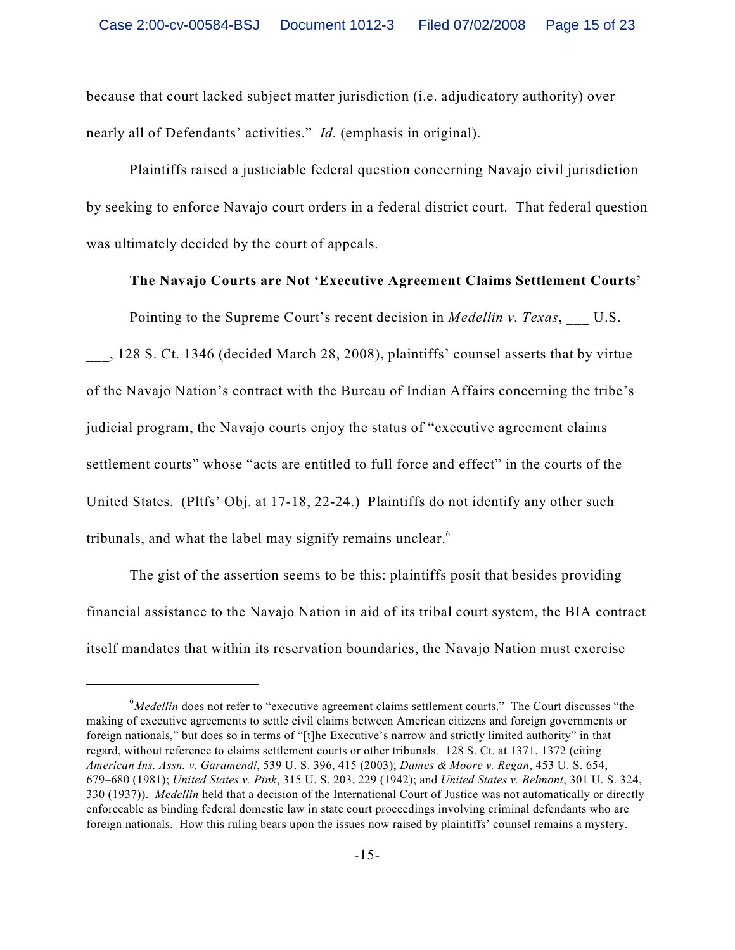because that court lacked subject matter jurisdiction (i.e. adjudicatory authority) over nearly all of Defendants' activities." *Id.* (emphasis in original).

Plaintiffs raised a justiciable federal question concerning Navajo civil jurisdiction by seeking to enforce Navajo court orders in a federal district court. That federal question was ultimately decided by the court of appeals.

### **The Navajo Courts are Not 'Executive Agreement Claims Settlement Courts'**

Pointing to the Supreme Court's recent decision in *Medellin v. Texas*, U.S.

\_\_\_, 128 S. Ct. 1346 (decided March 28, 2008), plaintiffs' counsel asserts that by virtue of the Navajo Nation's contract with the Bureau of Indian Affairs concerning the tribe's judicial program, the Navajo courts enjoy the status of "executive agreement claims settlement courts" whose "acts are entitled to full force and effect" in the courts of the United States. (Pltfs' Obj. at 17-18, 22-24.) Plaintiffs do not identify any other such tribunals, and what the label may signify remains unclear.<sup>6</sup>

The gist of the assertion seems to be this: plaintiffs posit that besides providing financial assistance to the Navajo Nation in aid of its tribal court system, the BIA contract itself mandates that within its reservation boundaries, the Navajo Nation must exercise

<sup>&</sup>lt;sup>6</sup>Medellin does not refer to "executive agreement claims settlement courts." The Court discusses "the making of executive agreements to settle civil claims between American citizens and foreign governments or foreign nationals," but does so in terms of "[t]he Executive's narrow and strictly limited authority" in that regard, without reference to claims settlement courts or other tribunals. 128 S. Ct. at 1371, 1372 (citing *American Ins. Assn. v. Garamendi*, 539 U. S. 396, 415 (2003); *Dames & Moore v. Regan*, 453 U. S. 654, 679–680 (1981); *United States v. Pink*, 315 U. S. 203, 229 (1942); and *United States v. Belmont*, 301 U. S. 324, 330 (1937)). *Medellin* held that a decision of the International Court of Justice was not automatically or directly enforceable as binding federal domestic law in state court proceedings involving criminal defendants who are foreign nationals. How this ruling bears upon the issues now raised by plaintiffs' counsel remains a mystery.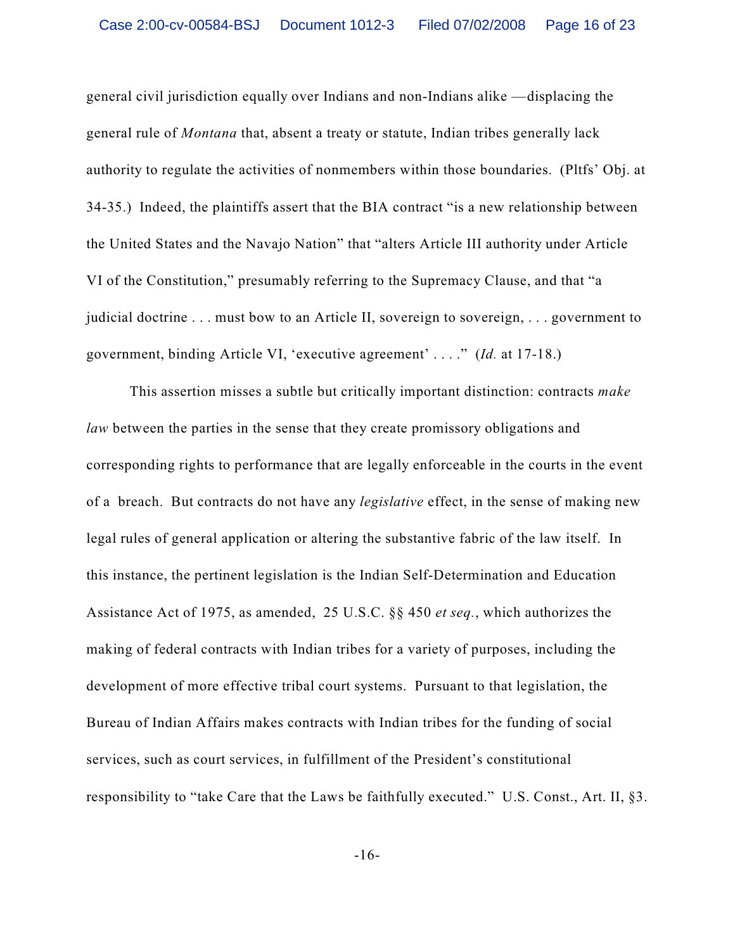general civil jurisdiction equally over Indians and non-Indians alike —displacing the general rule of *Montana* that, absent a treaty or statute, Indian tribes generally lack authority to regulate the activities of nonmembers within those boundaries. (Pltfs' Obj. at 34-35.) Indeed, the plaintiffs assert that the BIA contract "is a new relationship between the United States and the Navajo Nation" that "alters Article III authority under Article VI of the Constitution," presumably referring to the Supremacy Clause, and that "a judicial doctrine . . . must bow to an Article II, sovereign to sovereign, . . . government to government, binding Article VI, 'executive agreement' . . . ." (*Id.* at 17-18.)

This assertion misses a subtle but critically important distinction: contracts *make law* between the parties in the sense that they create promissory obligations and corresponding rights to performance that are legally enforceable in the courts in the event of a breach. But contracts do not have any *legislative* effect, in the sense of making new legal rules of general application or altering the substantive fabric of the law itself. In this instance, the pertinent legislation is the Indian Self-Determination and Education Assistance Act of 1975, as amended, 25 U.S.C. §§ 450 *et seq.*, which authorizes the making of federal contracts with Indian tribes for a variety of purposes, including the development of more effective tribal court systems. Pursuant to that legislation, the Bureau of Indian Affairs makes contracts with Indian tribes for the funding of social services, such as court services, in fulfillment of the President's constitutional responsibility to "take Care that the Laws be faithfully executed." U.S. Const., Art. II, §3.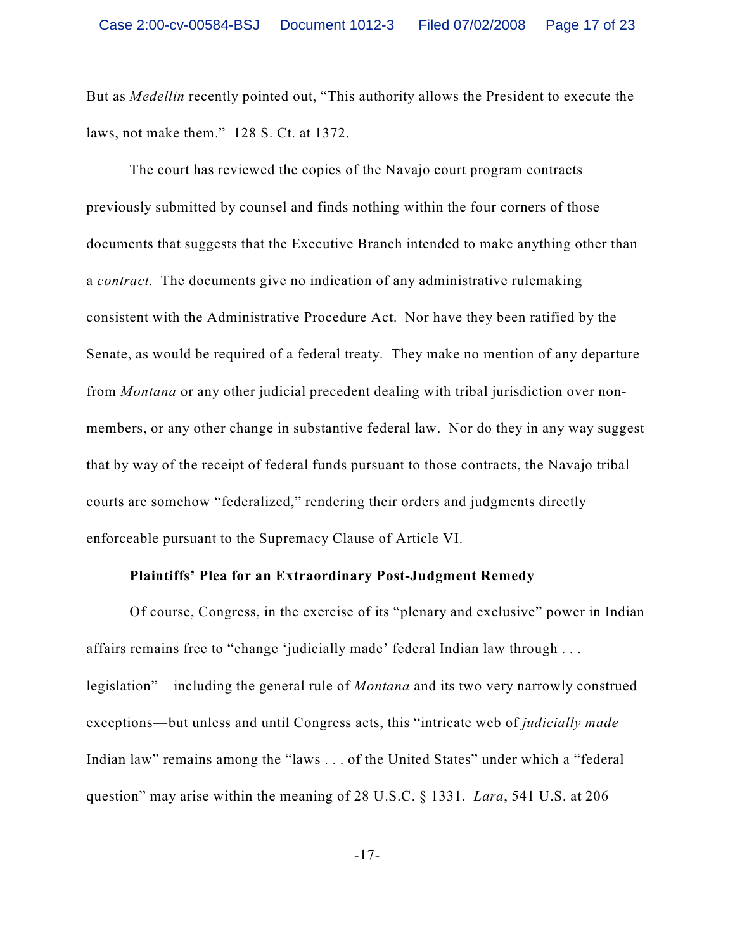But as *Medellin* recently pointed out, "This authority allows the President to execute the laws, not make them." 128 S. Ct. at 1372.

The court has reviewed the copies of the Navajo court program contracts previously submitted by counsel and finds nothing within the four corners of those documents that suggests that the Executive Branch intended to make anything other than a *contract*. The documents give no indication of any administrative rulemaking consistent with the Administrative Procedure Act. Nor have they been ratified by the Senate, as would be required of a federal treaty. They make no mention of any departure from *Montana* or any other judicial precedent dealing with tribal jurisdiction over nonmembers, or any other change in substantive federal law. Nor do they in any way suggest that by way of the receipt of federal funds pursuant to those contracts, the Navajo tribal courts are somehow "federalized," rendering their orders and judgments directly enforceable pursuant to the Supremacy Clause of Article VI.

### **Plaintiffs' Plea for an Extraordinary Post-Judgment Remedy**

Of course, Congress, in the exercise of its "plenary and exclusive" power in Indian affairs remains free to "change 'judicially made' federal Indian law through . . . legislation"—including the general rule of *Montana* and its two very narrowly construed exceptions—but unless and until Congress acts, this "intricate web of *judicially made* Indian law" remains among the "laws . . . of the United States" under which a "federal question" may arise within the meaning of 28 U.S.C. § 1331. *Lara*, 541 U.S. at 206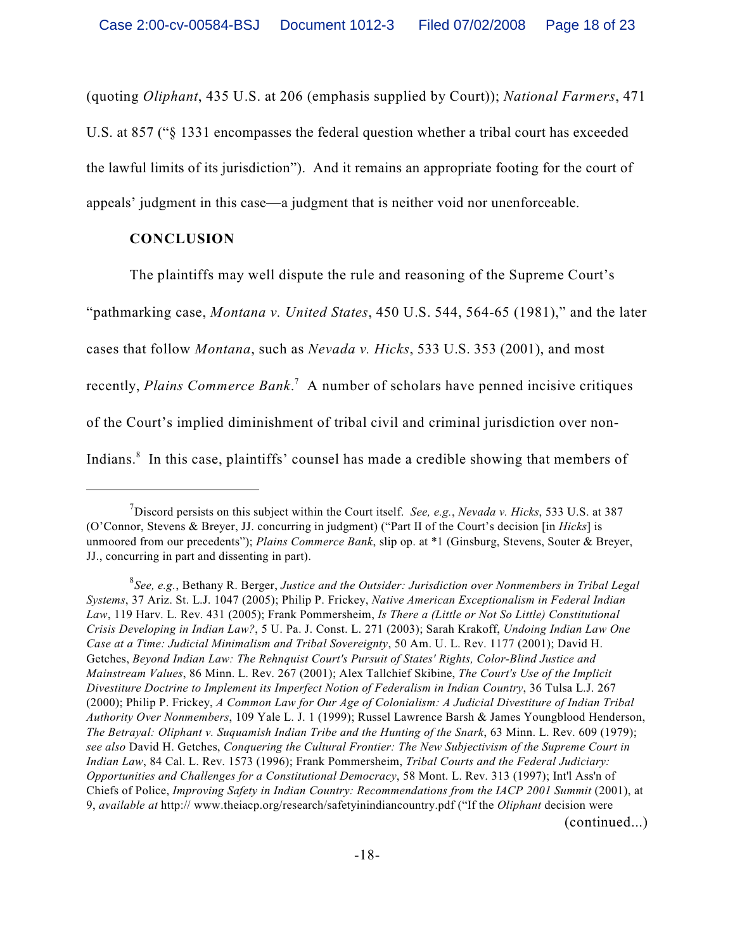(quoting *Oliphant*, 435 U.S. at 206 (emphasis supplied by Court)); *National Farmers*, 471 U.S. at 857 ("§ 1331 encompasses the federal question whether a tribal court has exceeded the lawful limits of its jurisdiction"). And it remains an appropriate footing for the court of appeals' judgment in this case—a judgment that is neither void nor unenforceable.

### **CONCLUSION**

The plaintiffs may well dispute the rule and reasoning of the Supreme Court's

"pathmarking case, *Montana v. United States*, 450 U.S. 544, 564-65 (1981)," and the later

cases that follow *Montana*, such as *Nevada v. Hicks*, 533 U.S. 353 (2001), and most

recently, *Plains Commerce Bank*.<sup>7</sup> A number of scholars have penned incisive critiques

of the Court's implied diminishment of tribal civil and criminal jurisdiction over non-

Indians. $\delta$  In this case, plaintiffs' counsel has made a credible showing that members of

Discord persists on this subject within the Court itself. *See, e.g., Nevada v. Hicks*, 533 U.S. at 387 (O'Connor, Stevens & Breyer, JJ. concurring in judgment) ("Part II of the Court's decision [in *Hicks*] is unmoored from our precedents"); *Plains Commerce Bank*, slip op. at \*1 (Ginsburg, Stevens, Souter & Breyer, JJ., concurring in part and dissenting in part).

*See, e.g.*, Bethany R. Berger, *Justice and the Outsider: Jurisdiction over Nonmembers in Tribal Legal* <sup>8</sup> *Systems*, 37 Ariz. St. L.J. 1047 (2005); Philip P. Frickey, *Native American Exceptionalism in Federal Indian Law*, 119 Harv. L. Rev. 431 (2005); Frank Pommersheim, *Is There a (Little or Not So Little) Constitutional Crisis Developing in Indian Law?*, 5 U. Pa. J. Const. L. 271 (2003); Sarah Krakoff, *Undoing Indian Law One Case at a Time: Judicial Minimalism and Tribal Sovereignty*, 50 Am. U. L. Rev. 1177 (2001); David H. Getches, *Beyond Indian Law: The Rehnquist Court's Pursuit of States' Rights, Color-Blind Justice and Mainstream Values*, 86 Minn. L. Rev. 267 (2001); Alex Tallchief Skibine, *The Court's Use of the Implicit Divestiture Doctrine to Implement its Imperfect Notion of Federalism in Indian Country*, 36 Tulsa L.J. 267 (2000); Philip P. Frickey, *A Common Law for Our Age of Colonialism: A Judicial Divestiture of Indian Tribal Authority Over Nonmembers*, 109 Yale L. J. 1 (1999); Russel Lawrence Barsh & James Youngblood Henderson, *The Betrayal: Oliphant v. Suquamish Indian Tribe and the Hunting of the Snark*, 63 Minn. L. Rev. 609 (1979); *see also* David H. Getches, *Conquering the Cultural Frontier: The New Subjectivism of the Supreme Court in Indian Law*, 84 Cal. L. Rev. 1573 (1996); Frank Pommersheim, *Tribal Courts and the Federal Judiciary: Opportunities and Challenges for a Constitutional Democracy*, 58 Mont. L. Rev. 313 (1997); Int'l Ass'n of Chiefs of Police, *Improving Safety in Indian Country: Recommendations from the IACP 2001 Summit (2001)*, at 9, *available at* http:// www.theiacp.org/research/safetyinindiancountry.pdf ("If the *Oliphant* decision were (continued...)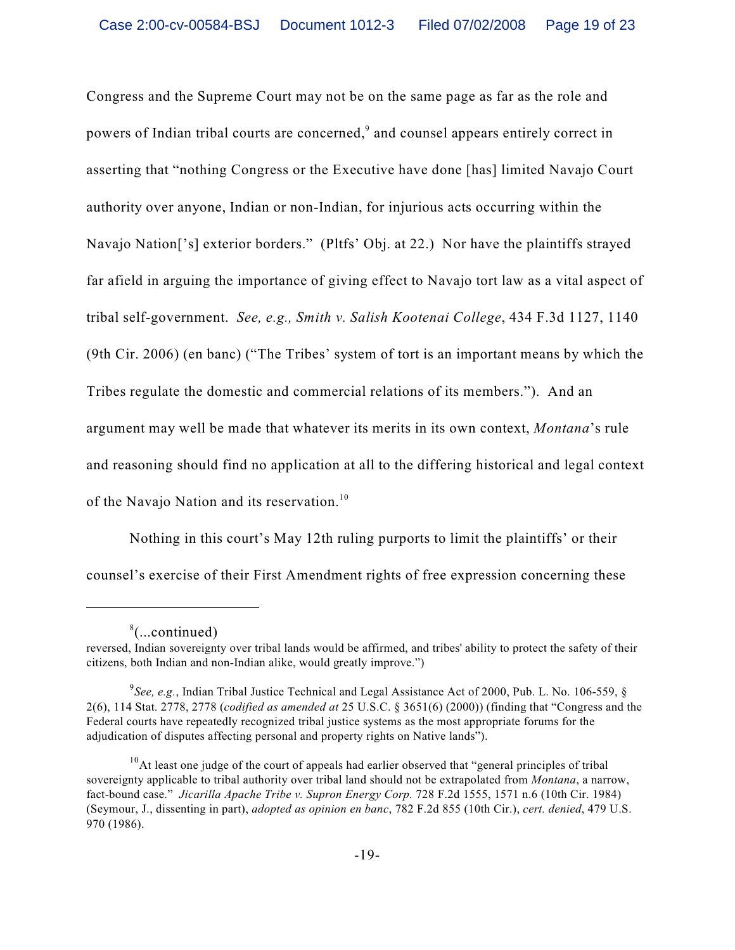Congress and the Supreme Court may not be on the same page as far as the role and powers of Indian tribal courts are concerned,<sup>9</sup> and counsel appears entirely correct in asserting that "nothing Congress or the Executive have done [has] limited Navajo Court authority over anyone, Indian or non-Indian, for injurious acts occurring within the Navajo Nation['s] exterior borders." (Pltfs' Obj. at 22.) Nor have the plaintiffs strayed far afield in arguing the importance of giving effect to Navajo tort law as a vital aspect of tribal self-government. *See, e.g., Smith v. Salish Kootenai College*, 434 F.3d 1127, 1140 (9th Cir. 2006) (en banc) ("The Tribes' system of tort is an important means by which the Tribes regulate the domestic and commercial relations of its members."). And an argument may well be made that whatever its merits in its own context, *Montana*'s rule and reasoning should find no application at all to the differing historical and legal context of the Navajo Nation and its reservation.<sup>10</sup>

Nothing in this court's May 12th ruling purports to limit the plaintiffs' or their counsel's exercise of their First Amendment rights of free expression concerning these

 $\delta$ (...continued)

reversed, Indian sovereignty over tribal lands would be affirmed, and tribes' ability to protect the safety of their citizens, both Indian and non-Indian alike, would greatly improve.")

*See, e.g.*, Indian Tribal Justice Technical and Legal Assistance Act of 2000, Pub. L. No. 106-559, § <sup>9</sup> 2(6), 114 Stat. 2778, 2778 (*codified as amended at* 25 U.S.C. § 3651(6) (2000)) (finding that "Congress and the Federal courts have repeatedly recognized tribal justice systems as the most appropriate forums for the adjudication of disputes affecting personal and property rights on Native lands").

 $10<sup>10</sup>$ At least one judge of the court of appeals had earlier observed that "general principles of tribal sovereignty applicable to tribal authority over tribal land should not be extrapolated from *Montana*, a narrow, fact-bound case." *Jicarilla Apache Tribe v. Supron Energy Corp.* 728 F.2d 1555, 1571 n.6 (10th Cir. 1984) (Seymour, J., dissenting in part), *adopted as opinion en banc*, 782 F.2d 855 (10th Cir.), *cert. denied*, 479 U.S. 970 (1986).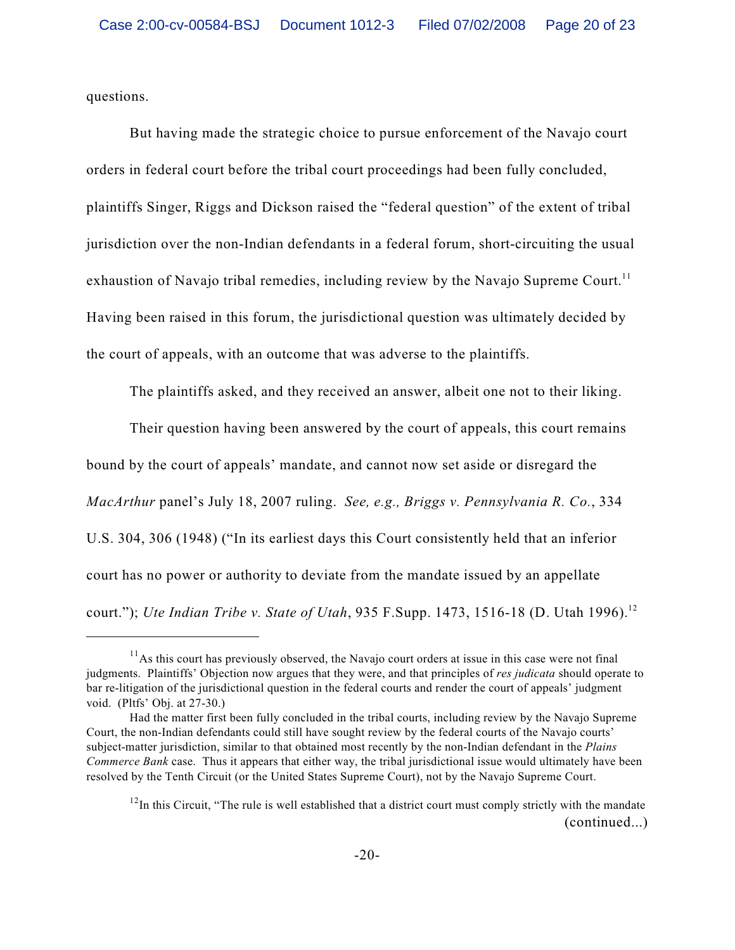questions.

But having made the strategic choice to pursue enforcement of the Navajo court orders in federal court before the tribal court proceedings had been fully concluded, plaintiffs Singer, Riggs and Dickson raised the "federal question" of the extent of tribal jurisdiction over the non-Indian defendants in a federal forum, short-circuiting the usual exhaustion of Navajo tribal remedies, including review by the Navajo Supreme Court.<sup>11</sup> Having been raised in this forum, the jurisdictional question was ultimately decided by the court of appeals, with an outcome that was adverse to the plaintiffs.

The plaintiffs asked, and they received an answer, albeit one not to their liking.

Their question having been answered by the court of appeals, this court remains bound by the court of appeals' mandate, and cannot now set aside or disregard the *MacArthur* panel's July 18, 2007 ruling. *See, e.g., Briggs v. Pennsylvania R. Co.*, 334 U.S. 304, 306 (1948) ("In its earliest days this Court consistently held that an inferior court has no power or authority to deviate from the mandate issued by an appellate court."); *Ute Indian Tribe v. State of Utah*, 935 F.Supp. 1473, 1516-18 (D. Utah 1996).<sup>12</sup>

 $11$ As this court has previously observed, the Navajo court orders at issue in this case were not final judgments. Plaintiffs' Objection now argues that they were, and that principles of *res judicata* should operate to bar re-litigation of the jurisdictional question in the federal courts and render the court of appeals' judgment void. (Pltfs' Obj. at 27-30.)

Had the matter first been fully concluded in the tribal courts, including review by the Navajo Supreme Court, the non-Indian defendants could still have sought review by the federal courts of the Navajo courts' subject-matter jurisdiction, similar to that obtained most recently by the non-Indian defendant in the *Plains Commerce Bank* case. Thus it appears that either way, the tribal jurisdictional issue would ultimately have been resolved by the Tenth Circuit (or the United States Supreme Court), not by the Navajo Supreme Court.

 $12$ In this Circuit, "The rule is well established that a district court must comply strictly with the mandate (continued...)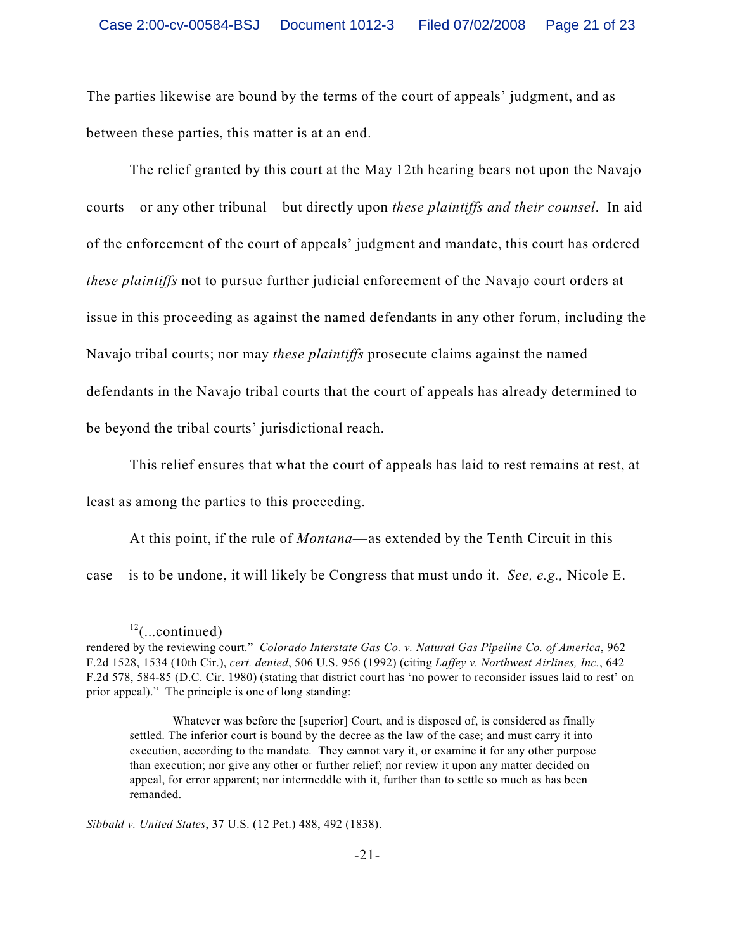The parties likewise are bound by the terms of the court of appeals' judgment, and as between these parties, this matter is at an end.

The relief granted by this court at the May 12th hearing bears not upon the Navajo courts—or any other tribunal—but directly upon *these plaintiffs and their counsel*. In aid of the enforcement of the court of appeals' judgment and mandate, this court has ordered *these plaintiffs* not to pursue further judicial enforcement of the Navajo court orders at issue in this proceeding as against the named defendants in any other forum, including the Navajo tribal courts; nor may *these plaintiffs* prosecute claims against the named defendants in the Navajo tribal courts that the court of appeals has already determined to be beyond the tribal courts' jurisdictional reach.

This relief ensures that what the court of appeals has laid to rest remains at rest, at

least as among the parties to this proceeding.

At this point, if the rule of *Montana*—as extended by the Tenth Circuit in this case—is to be undone, it will likely be Congress that must undo it. *See, e.g.,* Nicole E.

 $^{12}$ (...continued)

rendered by the reviewing court." *Colorado Interstate Gas Co. v. Natural Gas Pipeline Co. of America*, 962 F.2d 1528, 1534 (10th Cir.), *cert. denied*, 506 U.S. 956 (1992) (citing *Laffey v. Northwest Airlines, Inc.*, 642 F.2d 578, 584-85 (D.C. Cir. 1980) (stating that district court has 'no power to reconsider issues laid to rest' on prior appeal)." The principle is one of long standing:

Whatever was before the [superior] Court, and is disposed of, is considered as finally settled. The inferior court is bound by the decree as the law of the case; and must carry it into execution, according to the mandate. They cannot vary it, or examine it for any other purpose than execution; nor give any other or further relief; nor review it upon any matter decided on appeal, for error apparent; nor intermeddle with it, further than to settle so much as has been remanded.

*Sibbald v. United States*, 37 U.S. (12 Pet.) 488, 492 (1838).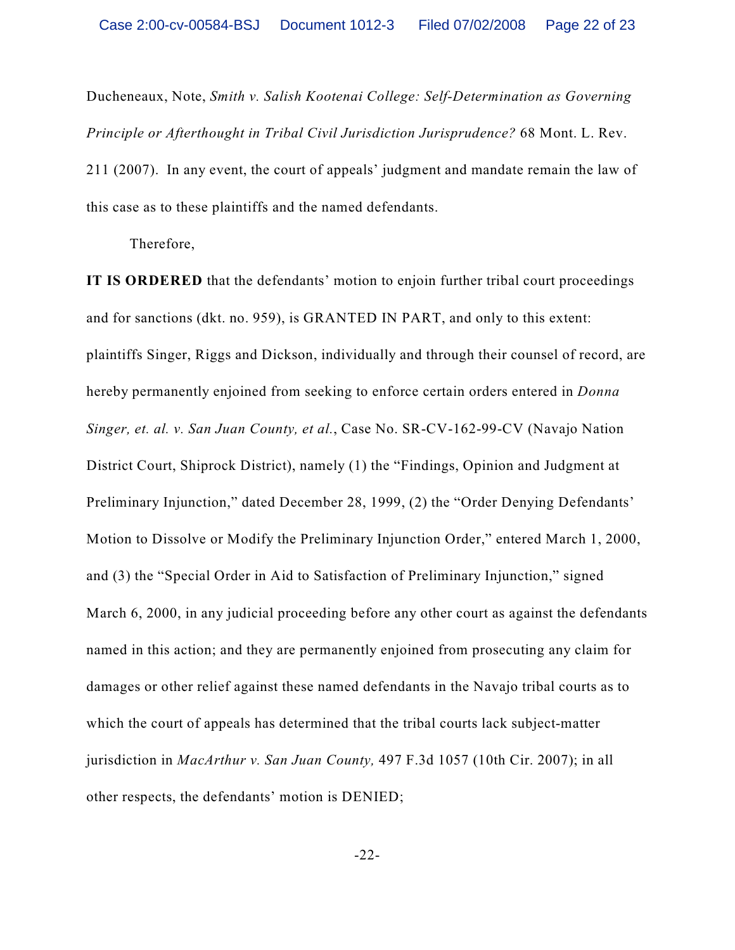Ducheneaux, Note, *Smith v. Salish Kootenai College: Self-Determination as Governing Principle or Afterthought in Tribal Civil Jurisdiction Jurisprudence?* 68 Mont. L. Rev. 211 (2007). In any event, the court of appeals' judgment and mandate remain the law of this case as to these plaintiffs and the named defendants.

Therefore,

**IT IS ORDERED** that the defendants' motion to enjoin further tribal court proceedings and for sanctions (dkt. no. 959), is GRANTED IN PART, and only to this extent: plaintiffs Singer, Riggs and Dickson, individually and through their counsel of record, are hereby permanently enjoined from seeking to enforce certain orders entered in *Donna Singer, et. al. v. San Juan County, et al.*, Case No. SR-CV-162-99-CV (Navajo Nation District Court, Shiprock District), namely (1) the "Findings, Opinion and Judgment at Preliminary Injunction," dated December 28, 1999, (2) the "Order Denying Defendants' Motion to Dissolve or Modify the Preliminary Injunction Order," entered March 1, 2000, and (3) the "Special Order in Aid to Satisfaction of Preliminary Injunction," signed March 6, 2000, in any judicial proceeding before any other court as against the defendants named in this action; and they are permanently enjoined from prosecuting any claim for damages or other relief against these named defendants in the Navajo tribal courts as to which the court of appeals has determined that the tribal courts lack subject-matter jurisdiction in *MacArthur v. San Juan County,* 497 F.3d 1057 (10th Cir. 2007); in all other respects, the defendants' motion is DENIED;

-22-